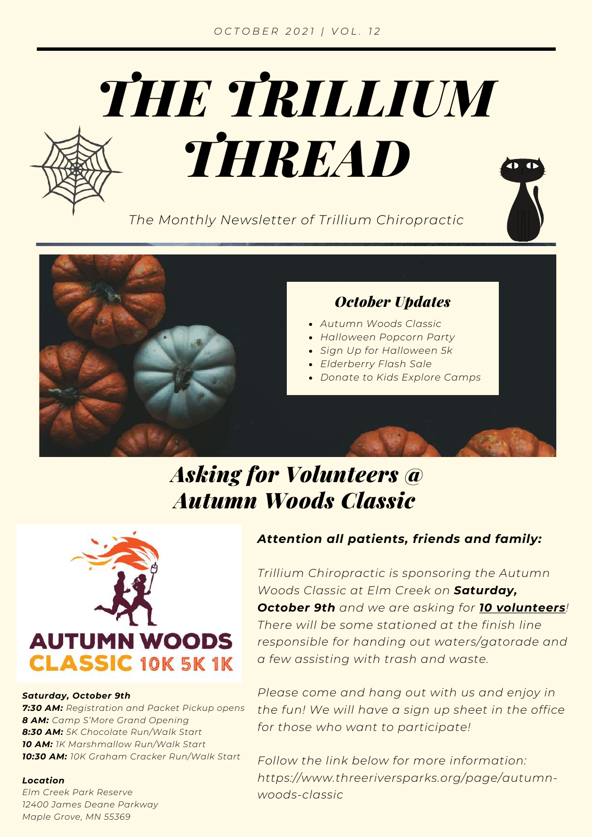

*The Monthly Newsletter of Trillium Chiropractic*





#### *October Updates*

- *Autumn Woods Classic*
- *Halloween Popcorn Party*
- *Sign Up for Halloween 5k*
- *Elderberry Flash Sale*
- *Donate to Kids Explore Camps*

### *Asking for Volunteers @ Autumn Woods Classic*



#### *Saturday, October 9th*

*7:30 AM: Registration and Packet Pickup opens 8 AM: Camp S'More Grand Opening 8:30 AM: 5K Chocolate Run/Walk Start 10 AM: 1K Marshmallow Run/Walk Start 10:30 AM: 10K Graham Cracker Run/Walk Start*

#### *Location*

*Elm Creek Park [Reserve](https://www.threeriversparks.org/location/elm-creek-park-reserve) 12400 James Deane Parkway Maple Grove, MN 55369*

#### *Attention all patients, friends and family:*

*Trillium Chiropractic is sponsoring the Autumn Woods Classic at Elm Creek on Saturday, October 9th and we are asking for 10 volunteers! There will be some stationed at the finish line responsible for handing out waters/gatorade and a few assisting with trash and waste.*

*Please come and hang out with us and enjoy in the fun! We will have a sign up sheet in the office for those who want to participate!*

*Follow the link below for more information: [https://www.threeriversparks.org/page/autumn](https://www.threeriversparks.org/page/autumn-woods-classic?fbclid=IwAR2BNZXRynYpNZEUWFh8bcZUlTFghq3VbwnNJL7lD0FPoxxe9FQ07VPIjhk)woods-classic*